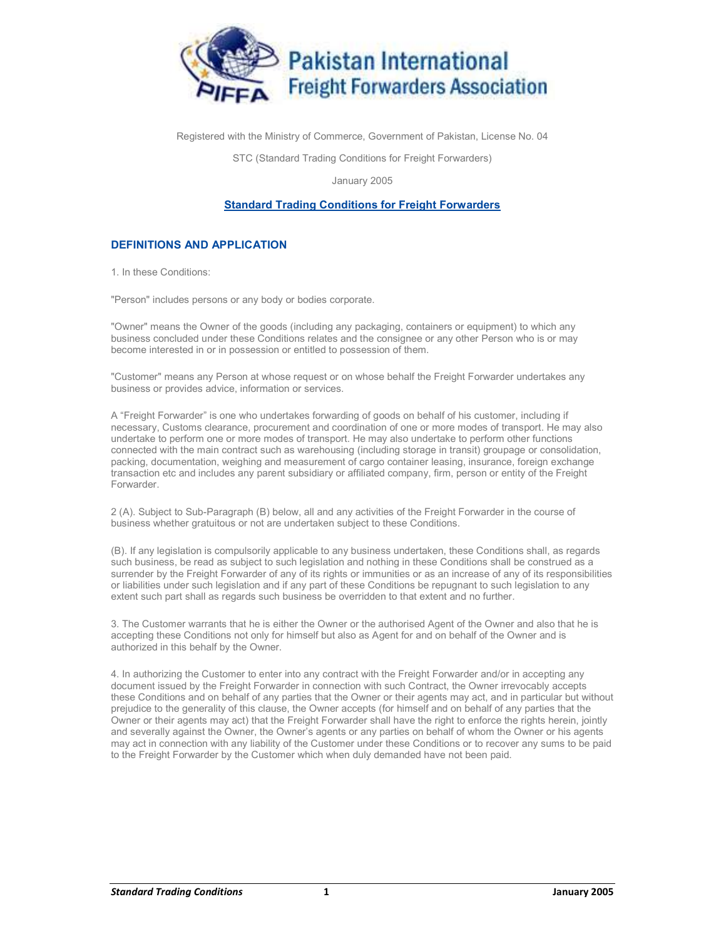

Registered with the Ministry of Commerce, Government of Pakistan, License No. 04

STC (Standard Trading Conditions for Freight Forwarders)

January 2005

## Standard Trading Conditions for Freight Forwarders

## DEFINITIONS AND APPLICATION

1. In these Conditions:

"Person" includes persons or any body or bodies corporate.

"Owner" means the Owner of the goods (including any packaging, containers or equipment) to which any business concluded under these Conditions relates and the consignee or any other Person who is or may become interested in or in possession or entitled to possession of them.

"Customer" means any Person at whose request or on whose behalf the Freight Forwarder undertakes any business or provides advice, information or services.

A "Freight Forwarder" is one who undertakes forwarding of goods on behalf of his customer, including if necessary, Customs clearance, procurement and coordination of one or more modes of transport. He may also undertake to perform one or more modes of transport. He may also undertake to perform other functions connected with the main contract such as warehousing (including storage in transit) groupage or consolidation, packing, documentation, weighing and measurement of cargo container leasing, insurance, foreign exchange transaction etc and includes any parent subsidiary or affiliated company, firm, person or entity of the Freight Forwarder.

2 (A). Subject to Sub-Paragraph (B) below, all and any activities of the Freight Forwarder in the course of business whether gratuitous or not are undertaken subject to these Conditions.

(B). If any legislation is compulsorily applicable to any business undertaken, these Conditions shall, as regards such business, be read as subject to such legislation and nothing in these Conditions shall be construed as a surrender by the Freight Forwarder of any of its rights or immunities or as an increase of any of its responsibilities or liabilities under such legislation and if any part of these Conditions be repugnant to such legislation to any extent such part shall as regards such business be overridden to that extent and no further.

3. The Customer warrants that he is either the Owner or the authorised Agent of the Owner and also that he is accepting these Conditions not only for himself but also as Agent for and on behalf of the Owner and is authorized in this behalf by the Owner.

4. In authorizing the Customer to enter into any contract with the Freight Forwarder and/or in accepting any document issued by the Freight Forwarder in connection with such Contract, the Owner irrevocably accepts these Conditions and on behalf of any parties that the Owner or their agents may act, and in particular but without prejudice to the generality of this clause, the Owner accepts (for himself and on behalf of any parties that the Owner or their agents may act) that the Freight Forwarder shall have the right to enforce the rights herein, jointly and severally against the Owner, the Owner's agents or any parties on behalf of whom the Owner or his agents may act in connection with any liability of the Customer under these Conditions or to recover any sums to be paid to the Freight Forwarder by the Customer which when duly demanded have not been paid.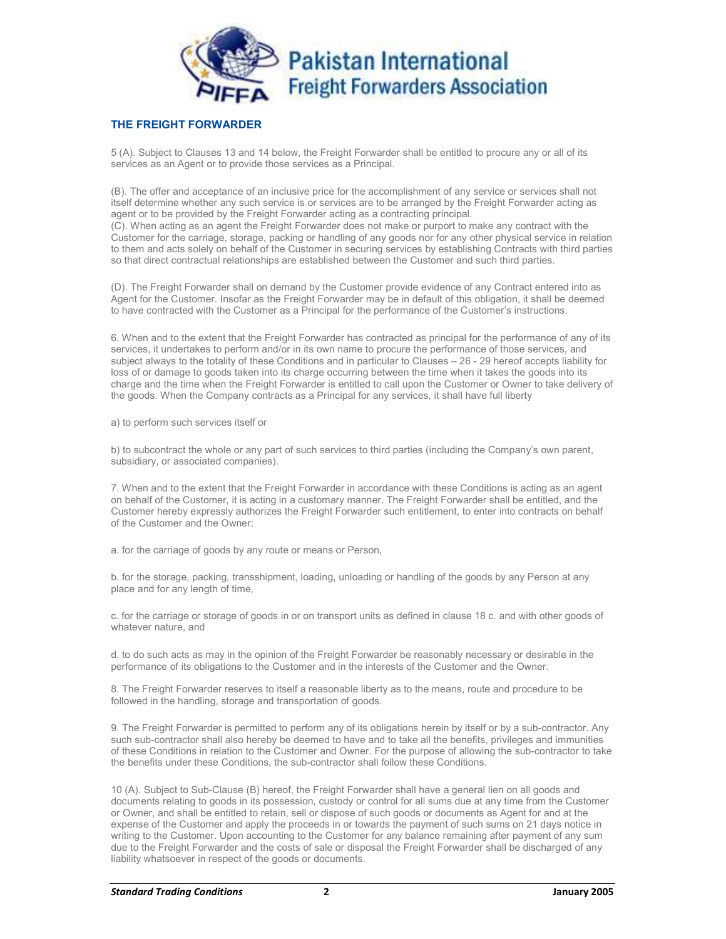

## THE FREIGHT FORWARDER

5 (A). Subject to Clauses 13 and 14 below, the Freight Forwarder shall be entitled to procure any or all of its services as an Agent or to provide those services as a Principal.

(B). The offer and acceptance of an inclusive price for the accomplishment of any service or services shall not itself determine whether any such service is or services are to be arranged by the Freight Forwarder acting as agent or to be provided by the Freight Forwarder acting as a contracting principal. (C). When acting as an agent the Freight Forwarder does not make or purport to make any contract with the

Customer for the carriage, storage, packing or handling of any goods nor for any other physical service in relation to them and acts solely on behalf of the Customer in securing services by establishing Contracts with third parties so that direct contractual relationships are established between the Customer and such third parties.

(D). The Freight Forwarder shall on demand by the Customer provide evidence of any Contract entered into as Agent for the Customer. Insofar as the Freight Forwarder may be in default of this obligation, it shall be deemed to have contracted with the Customer as a Principal for the performance of the Customer's instructions.

6. When and to the extent that the Freight Forwarder has contracted as principal for the performance of any of its services, it undertakes to perform and/or in its own name to procure the performance of those services, and subject always to the totality of these Conditions and in particular to Clauses – 26 - 29 hereof accepts liability for loss of or damage to goods taken into its charge occurring between the time when it takes the goods into its charge and the time when the Freight Forwarder is entitled to call upon the Customer or Owner to take delivery of the goods. When the Company contracts as a Principal for any services, it shall have full liberty

a) to perform such services itself or

b) to subcontract the whole or any part of such services to third parties (including the Company's own parent, subsidiary, or associated companies).

7. When and to the extent that the Freight Forwarder in accordance with these Conditions is acting as an agent on behalf of the Customer, it is acting in a customary manner. The Freight Forwarder shall be entitled, and the Customer hereby expressly authorizes the Freight Forwarder such entitlement, to enter into contracts on behalf of the Customer and the Owner:

a. for the carriage of goods by any route or means or Person,

b. for the storage, packing, transshipment, loading, unloading or handling of the goods by any Person at any place and for any length of time,

c. for the carriage or storage of goods in or on transport units as defined in clause 18 c. and with other goods of whatever nature, and

d. to do such acts as may in the opinion of the Freight Forwarder be reasonably necessary or desirable in the performance of its obligations to the Customer and in the interests of the Customer and the Owner.

8. The Freight Forwarder reserves to itself a reasonable liberty as to the means, route and procedure to be followed in the handling, storage and transportation of goods.

9. The Freight Forwarder is permitted to perform any of its obligations herein by itself or by a sub-contractor. Any such sub-contractor shall also hereby be deemed to have and to take all the benefits, privileges and immunities of these Conditions in relation to the Customer and Owner. For the purpose of allowing the sub-contractor to take the benefits under these Conditions, the sub-contractor shall follow these Conditions.

10 (A). Subject to Sub-Clause (B) hereof, the Freight Forwarder shall have a general lien on all goods and documents relating to goods in its possession, custody or control for all sums due at any time from the Customer or Owner, and shall be entitled to retain, sell or dispose of such goods or documents as Agent for and at the expense of the Customer and apply the proceeds in or towards the payment of such sums on 21 days notice in writing to the Customer. Upon accounting to the Customer for any balance remaining after payment of any sum due to the Freight Forwarder and the costs of sale or disposal the Freight Forwarder shall be discharged of any liability whatsoever in respect of the goods or documents.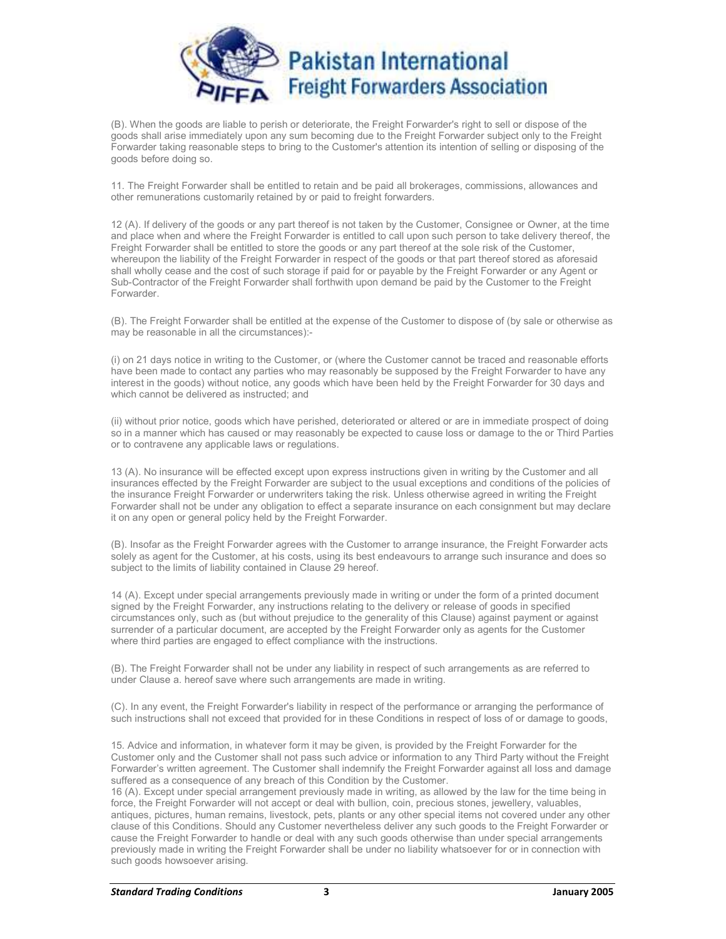

(B). When the goods are liable to perish or deteriorate, the Freight Forwarder's right to sell or dispose of the goods shall arise immediately upon any sum becoming due to the Freight Forwarder subject only to the Freight Forwarder taking reasonable steps to bring to the Customer's attention its intention of selling or disposing of the goods before doing so.

11. The Freight Forwarder shall be entitled to retain and be paid all brokerages, commissions, allowances and other remunerations customarily retained by or paid to freight forwarders.

12 (A). If delivery of the goods or any part thereof is not taken by the Customer, Consignee or Owner, at the time and place when and where the Freight Forwarder is entitled to call upon such person to take delivery thereof, the Freight Forwarder shall be entitled to store the goods or any part thereof at the sole risk of the Customer, whereupon the liability of the Freight Forwarder in respect of the goods or that part thereof stored as aforesaid shall wholly cease and the cost of such storage if paid for or payable by the Freight Forwarder or any Agent or Sub-Contractor of the Freight Forwarder shall forthwith upon demand be paid by the Customer to the Freight Forwarder.

(B). The Freight Forwarder shall be entitled at the expense of the Customer to dispose of (by sale or otherwise as may be reasonable in all the circumstances):-

(i) on 21 days notice in writing to the Customer, or (where the Customer cannot be traced and reasonable efforts have been made to contact any parties who may reasonably be supposed by the Freight Forwarder to have any interest in the goods) without notice, any goods which have been held by the Freight Forwarder for 30 days and which cannot be delivered as instructed; and

(ii) without prior notice, goods which have perished, deteriorated or altered or are in immediate prospect of doing so in a manner which has caused or may reasonably be expected to cause loss or damage to the or Third Parties or to contravene any applicable laws or regulations.

13 (A). No insurance will be effected except upon express instructions given in writing by the Customer and all insurances effected by the Freight Forwarder are subject to the usual exceptions and conditions of the policies of the insurance Freight Forwarder or underwriters taking the risk. Unless otherwise agreed in writing the Freight Forwarder shall not be under any obligation to effect a separate insurance on each consignment but may declare it on any open or general policy held by the Freight Forwarder.

(B). Insofar as the Freight Forwarder agrees with the Customer to arrange insurance, the Freight Forwarder acts solely as agent for the Customer, at his costs, using its best endeavours to arrange such insurance and does so subject to the limits of liability contained in Clause 29 hereof.

14 (A). Except under special arrangements previously made in writing or under the form of a printed document signed by the Freight Forwarder, any instructions relating to the delivery or release of goods in specified circumstances only, such as (but without prejudice to the generality of this Clause) against payment or against surrender of a particular document, are accepted by the Freight Forwarder only as agents for the Customer where third parties are engaged to effect compliance with the instructions.

(B). The Freight Forwarder shall not be under any liability in respect of such arrangements as are referred to under Clause a. hereof save where such arrangements are made in writing.

(C). In any event, the Freight Forwarder's liability in respect of the performance or arranging the performance of such instructions shall not exceed that provided for in these Conditions in respect of loss of or damage to goods,

15. Advice and information, in whatever form it may be given, is provided by the Freight Forwarder for the Customer only and the Customer shall not pass such advice or information to any Third Party without the Freight Forwarder's written agreement. The Customer shall indemnify the Freight Forwarder against all loss and damage suffered as a consequence of any breach of this Condition by the Customer.

16 (A). Except under special arrangement previously made in writing, as allowed by the law for the time being in force, the Freight Forwarder will not accept or deal with bullion, coin, precious stones, jewellery, valuables, antiques, pictures, human remains, livestock, pets, plants or any other special items not covered under any other clause of this Conditions. Should any Customer nevertheless deliver any such goods to the Freight Forwarder or cause the Freight Forwarder to handle or deal with any such goods otherwise than under special arrangements previously made in writing the Freight Forwarder shall be under no liability whatsoever for or in connection with such goods howsoever arising.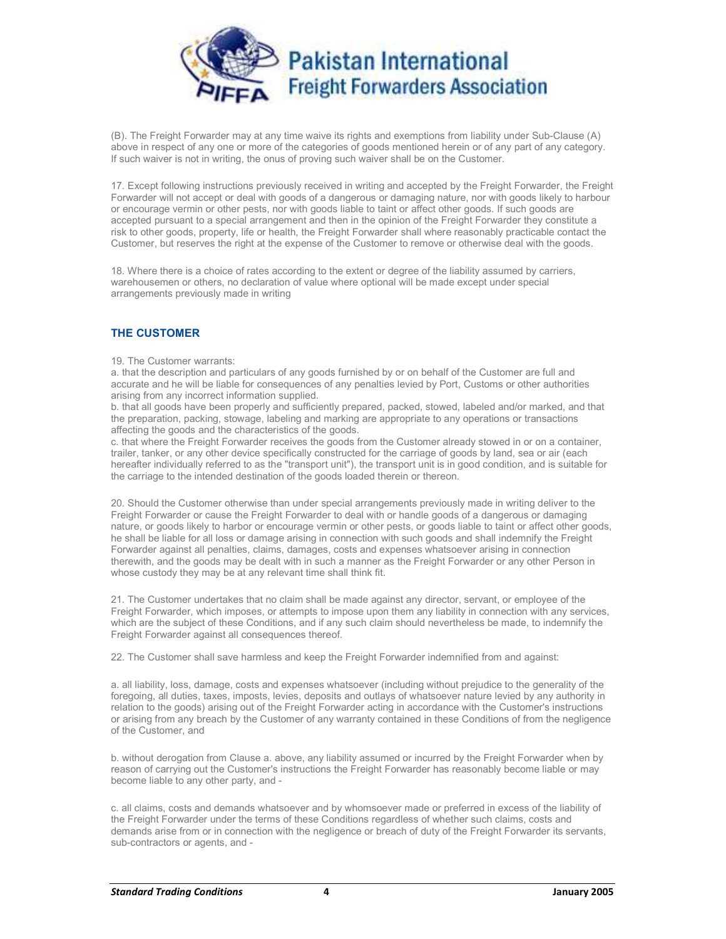

(B). The Freight Forwarder may at any time waive its rights and exemptions from liability under Sub-Clause (A) above in respect of any one or more of the categories of goods mentioned herein or of any part of any category. If such waiver is not in writing, the onus of proving such waiver shall be on the Customer.

17. Except following instructions previously received in writing and accepted by the Freight Forwarder, the Freight Forwarder will not accept or deal with goods of a dangerous or damaging nature, nor with goods likely to harbour or encourage vermin or other pests, nor with goods liable to taint or affect other goods. If such goods are accepted pursuant to a special arrangement and then in the opinion of the Freight Forwarder they constitute a risk to other goods, property, life or health, the Freight Forwarder shall where reasonably practicable contact the Customer, but reserves the right at the expense of the Customer to remove or otherwise deal with the goods.

18. Where there is a choice of rates according to the extent or degree of the liability assumed by carriers, warehousemen or others, no declaration of value where optional will be made except under special arrangements previously made in writing

# THE CUSTOMER

#### 19. The Customer warrants:

a. that the description and particulars of any goods furnished by or on behalf of the Customer are full and accurate and he will be liable for consequences of any penalties levied by Port, Customs or other authorities arising from any incorrect information supplied.

b. that all goods have been properly and sufficiently prepared, packed, stowed, labeled and/or marked, and that the preparation, packing, stowage, labeling and marking are appropriate to any operations or transactions affecting the goods and the characteristics of the goods.

c. that where the Freight Forwarder receives the goods from the Customer already stowed in or on a container, trailer, tanker, or any other device specifically constructed for the carriage of goods by land, sea or air (each hereafter individually referred to as the "transport unit"), the transport unit is in good condition, and is suitable for the carriage to the intended destination of the goods loaded therein or thereon.

20. Should the Customer otherwise than under special arrangements previously made in writing deliver to the Freight Forwarder or cause the Freight Forwarder to deal with or handle goods of a dangerous or damaging nature, or goods likely to harbor or encourage vermin or other pests, or goods liable to taint or affect other goods, he shall be liable for all loss or damage arising in connection with such goods and shall indemnify the Freight Forwarder against all penalties, claims, damages, costs and expenses whatsoever arising in connection therewith, and the goods may be dealt with in such a manner as the Freight Forwarder or any other Person in whose custody they may be at any relevant time shall think fit.

21. The Customer undertakes that no claim shall be made against any director, servant, or employee of the Freight Forwarder, which imposes, or attempts to impose upon them any liability in connection with any services, which are the subject of these Conditions, and if any such claim should nevertheless be made, to indemnify the Freight Forwarder against all consequences thereof.

22. The Customer shall save harmless and keep the Freight Forwarder indemnified from and against:

a. all liability, loss, damage, costs and expenses whatsoever (including without prejudice to the generality of the foregoing, all duties, taxes, imposts, levies, deposits and outlays of whatsoever nature levied by any authority in relation to the goods) arising out of the Freight Forwarder acting in accordance with the Customer's instructions or arising from any breach by the Customer of any warranty contained in these Conditions of from the negligence of the Customer, and

b. without derogation from Clause a. above, any liability assumed or incurred by the Freight Forwarder when by reason of carrying out the Customer's instructions the Freight Forwarder has reasonably become liable or may become liable to any other party, and -

c. all claims, costs and demands whatsoever and by whomsoever made or preferred in excess of the liability of the Freight Forwarder under the terms of these Conditions regardless of whether such claims, costs and demands arise from or in connection with the negligence or breach of duty of the Freight Forwarder its servants, sub-contractors or agents, and -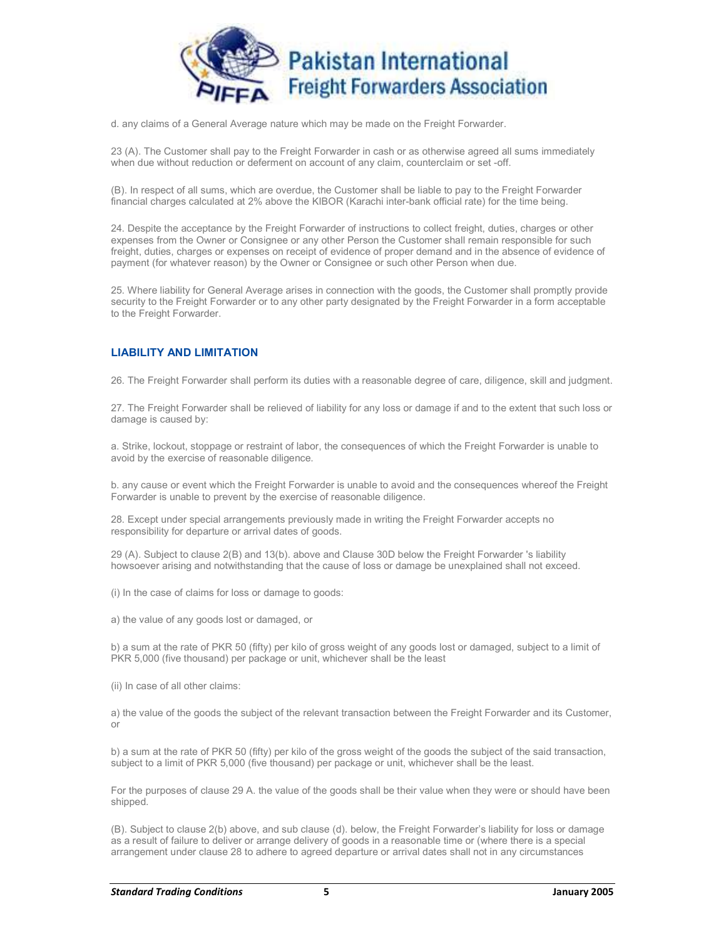

d. any claims of a General Average nature which may be made on the Freight Forwarder.

23 (A). The Customer shall pay to the Freight Forwarder in cash or as otherwise agreed all sums immediately when due without reduction or deferment on account of any claim, counterclaim or set -off.

(B). In respect of all sums, which are overdue, the Customer shall be liable to pay to the Freight Forwarder financial charges calculated at 2% above the KIBOR (Karachi inter-bank official rate) for the time being.

24. Despite the acceptance by the Freight Forwarder of instructions to collect freight, duties, charges or other expenses from the Owner or Consignee or any other Person the Customer shall remain responsible for such freight, duties, charges or expenses on receipt of evidence of proper demand and in the absence of evidence of payment (for whatever reason) by the Owner or Consignee or such other Person when due.

25. Where liability for General Average arises in connection with the goods, the Customer shall promptly provide security to the Freight Forwarder or to any other party designated by the Freight Forwarder in a form acceptable to the Freight Forwarder.

# LIABILITY AND LIMITATION

26. The Freight Forwarder shall perform its duties with a reasonable degree of care, diligence, skill and judgment.

27. The Freight Forwarder shall be relieved of liability for any loss or damage if and to the extent that such loss or damage is caused by:

a. Strike, lockout, stoppage or restraint of labor, the consequences of which the Freight Forwarder is unable to avoid by the exercise of reasonable diligence.

b. any cause or event which the Freight Forwarder is unable to avoid and the consequences whereof the Freight Forwarder is unable to prevent by the exercise of reasonable diligence.

28. Except under special arrangements previously made in writing the Freight Forwarder accepts no responsibility for departure or arrival dates of goods.

29 (A). Subject to clause 2(B) and 13(b). above and Clause 30D below the Freight Forwarder 's liability howsoever arising and notwithstanding that the cause of loss or damage be unexplained shall not exceed.

(i) In the case of claims for loss or damage to goods:

a) the value of any goods lost or damaged, or

b) a sum at the rate of PKR 50 (fifty) per kilo of gross weight of any goods lost or damaged, subject to a limit of PKR 5,000 (five thousand) per package or unit, whichever shall be the least

(ii) In case of all other claims:

a) the value of the goods the subject of the relevant transaction between the Freight Forwarder and its Customer, or

b) a sum at the rate of PKR 50 (fifty) per kilo of the gross weight of the goods the subject of the said transaction, subject to a limit of PKR 5,000 (five thousand) per package or unit, whichever shall be the least.

For the purposes of clause 29 A. the value of the goods shall be their value when they were or should have been shipped.

(B). Subject to clause 2(b) above, and sub clause (d). below, the Freight Forwarder's liability for loss or damage as a result of failure to deliver or arrange delivery of goods in a reasonable time or (where there is a special arrangement under clause 28 to adhere to agreed departure or arrival dates shall not in any circumstances